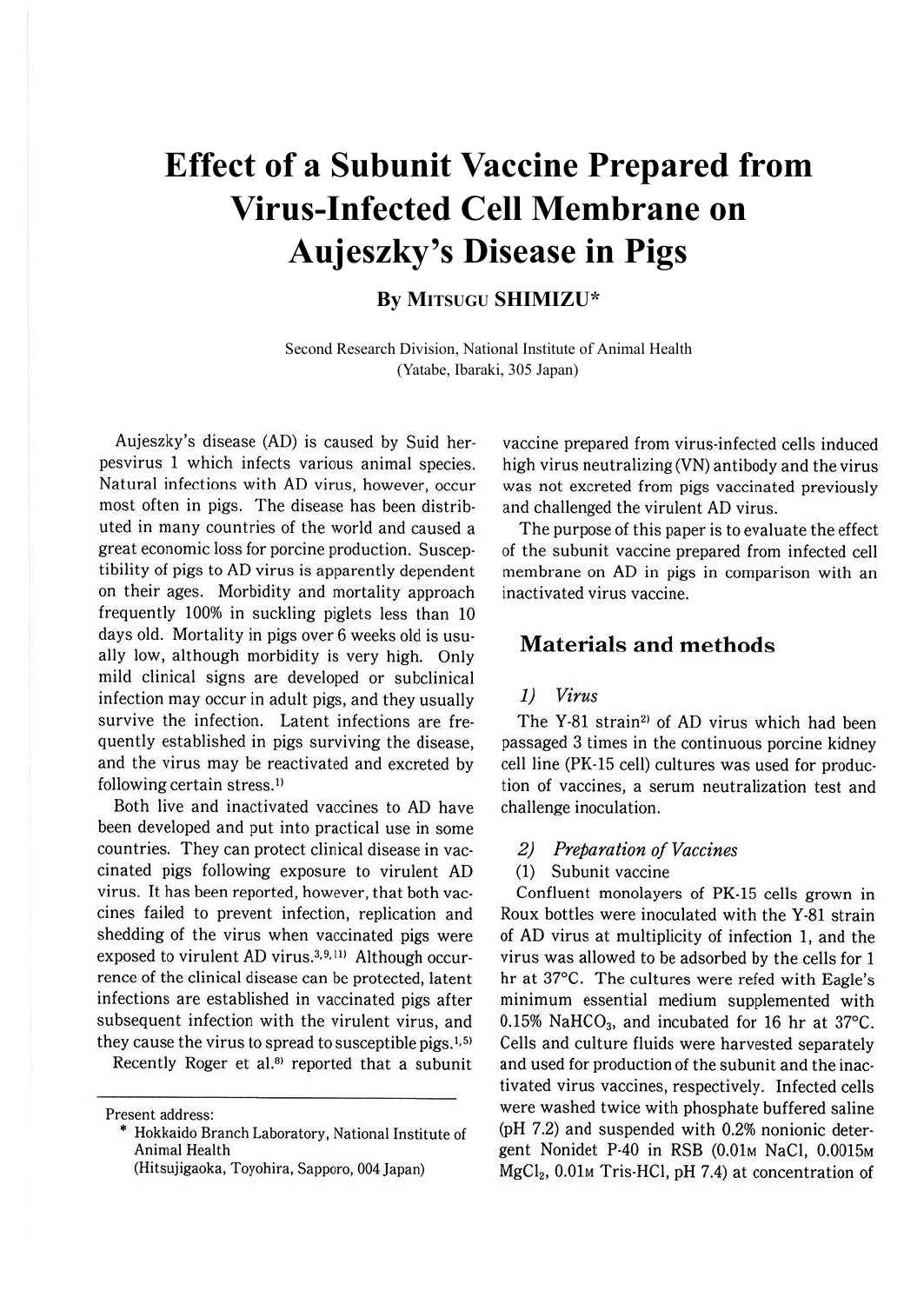# **Effect of a Subunit Vaccine Prepared from Virus-Infected Cell Membrane on Aujeszky's Disease in Pigs**

# **By MITSUGU SHIMIZU\***

Second Research Division, National Institute of Animal Health (Yatabe, Ibaraki, 305 Japan)

Aujeszky's disease (AD) is caused by Suid herpesvirus 1 which infects various animal species. Natural infections with AD virus, however, occur most often in pigs. The disease has been distributed in many countries of the world and caused a great economic loss for porcine production. Susceptibility of pigs to AD virus is apparently dependent on their ages. Morbidity and mortality approach frequently 100% in suckling piglets less than 10 days old. Mortality in pigs over 6 weeks old is usually low, although morbidity is very high. Only mild clinical signs are developed or subclinical infection may occur in adult pigs, and they usually survive the infection. Latent infections are frequently established in pigs surviving the disease, and the virus may be reactivated and excreted by following certain stress.<sup>1)</sup>

Both live and inactivated vaccines to AD have been developed and put into practical use in some countries. They can protect clinical disease in vaccinated pigs following exposure to virulent AD virus. It has been reported, however, that both vaccines failed to prevent infection, replication and shedding of the virus when vaccinated pigs were exposed to virulent AD virus. $3,9,111$  Although occurrence of the clinical disease can be protected, latent infections are established in vaccinated pigs after subsequent infection with the virulent virus, and they cause the virus to spread to susceptible pigs.<sup>1,5)</sup>

Recently Roger et al.<sup>81</sup> reported that a subunit

Present address:

vaccine prepared from virus-infected cells induced high virus neutralizing (VN) antibody and the virus was not excreted from pigs vaccinated previously and challenged the virulent AD virus.

The purpose of this paper is to evaluate the effect of the subunit vaccine prepared from infected cell membrane on AD in pigs in comparison with an inactivated virus vaccine.

# **Materials and methods**

#### *1) Virus*

The Y-81 strain<sup>2)</sup> of AD virus which had been passaged 3 times in the continuous porcine kidney cell line (PK-15 cell) cultures was used for production of vaccines, a serum neutralization test and challenge inoculation.

## *2) Preparation of Vaccines*

(1) Subunit vaccine

Confluent monolayers of PK-15 cells grown in Roux bottles were inoculated with the Y-81 strain of AD virus at multiplicity of infection 1, and the virus was allowed to be adsorbed by the cells for 1 hr at 37°C. The cultures were refed with Eagle's minimum essential medium supplemented with 0.15% NaHCO<sub>3</sub>, and incubated for 16 hr at 37°C. Cells and culture fluids were harvested separately and used for production of the subunit and the inactivated virus vaccines, respectively. Infected cells were washed twice with phosphate buffered saline (pH 7.2) and suspended with 0.2% nonionic detergent Nonidet P-40 in RSB (0.01M NaCl, 0.0015M MgCl<sub>2</sub>, 0.01<sub>M</sub> Tris-HCl, pH 7.4) at concentration of

<sup>\*</sup> Hokkaido Branch Laboratory, National Institute of Animal Health

<sup>(</sup>Hitsujigaoka, Toyohira, Sapporo, 004 Japan)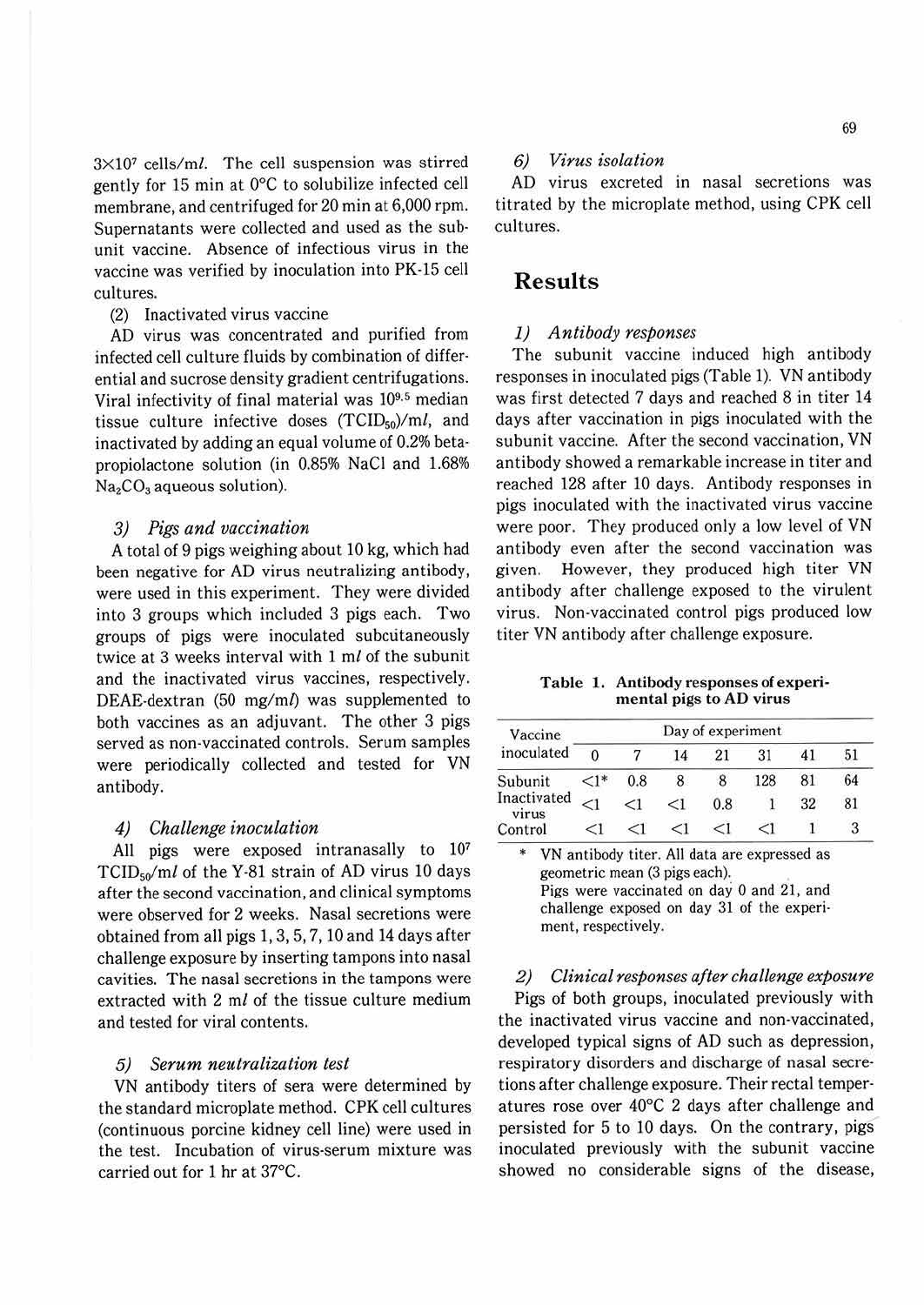3X107 cells/ml. The cell suspension was stirred gently for 15 min at 0°C to solubilize infected cell membrane, and centrifuged for 20 min at 6,000 rpm. Supernatants were collected and used as the sub· unit vaccine. Absence of infectious virus in the vaccine was verified by inoculation into PK-15 cell cultures.

(2) Inactivated virus vaccine

AD virus was concentrated and purified from infected cell culture fluids by combination of differ· ential and sucrose density gradient centrifugations. Viral infectivity of final material was 10<sup>9,5</sup> median tissue culture infective doses  $(TCID<sub>50</sub>)/ml$ , and inactivated by adding an equal volume of 0.2% beta· propiolactone solution (in 0.85% NaCl and 1.68%  $Na<sub>2</sub>CO<sub>3</sub>$  aqueous solution).

#### *3) Pigs and vaccination*

A total of 9 pigs weighing about 10 kg, which had been negative for AD virus neutralizing antibody, were used in this experiment. They were divided into 3 groups which included 3 pigs each. Two groups of pigs were inoculated subcutaneously twice at 3 weeks interval with 1 ml of the subunit and the inactivated virus vaccines, respectively. DEAE-dextran (50 mg/ml) was supplemented to both vaccines as an adjuvant. The other 3 pigs served as non-vaccinated controls. Serum samples were periodically collected and tested for VN antibody.

#### *4) Challenge inoculation*

All pigs were exposed intranasally to 10<sup>7</sup> TCID5o/ml of the Y-81 strain of AD virus 10 days after the second vaccination, and clinical symptoms were observed for 2 weeks. Nasal secretions were obtained from all pigs 1, 3, 5, 7, 10 and 14 days after challenge exposure by inserting tampons into nasal cavities. The nasal secretions in the tampons were extracted with 2 *ml* of the tissue culture medium and tested for viral contents.

#### *5) Serum neutralization test*

VN antibody titers of sera were determined by the standard microplate method. CPK cell cultures (continuous porcine kidney cell line) were used in the test. Incubation of virus-serum mixture was carried out for 1 hr at 37°C.

## *6) Virus isolation*

AD virus excreted in nasal secretions was titrated by the microplate method, using CPK cell cultures.

## **Results**

#### *1) Antibody responses*

The subunit vaccine induced high antibody responses in inoculated pigs (Table 1). VN antibody was first detected 7 days and reached 8 in titer 14 days after vaccination in pigs inoculated with the subunit vaccine. After the second vaccination, VN antibody showed a remarkable increase in titer and reached 128 after 10 days. Antibody responses in pigs inoculated with the inactivated virus vaccine were poor. They produced only a low level of VN antibody even after the second vaccination was given. However, they produced high titer VN antibody after challenge exposed to the virulent virus. Non-vaccinated control pigs produced low titer VN antibody after challenge exposure.

**Table** 1. **Antibody** responses **of experimental pigs to AD virus** 

| Vaccine<br>inoculated | Day of experiment |     |    |     |     |    |    |  |  |
|-----------------------|-------------------|-----|----|-----|-----|----|----|--|--|
|                       | 0                 |     | 14 |     | 31  | 41 | 51 |  |  |
| Subunit               |                   | 0.8 |    |     | 128 | 81 | 64 |  |  |
| Inactivated<br>virus  | $\leq$            | ⊂1  | <1 | 0.8 |     | 32 | 81 |  |  |
| Control               | <Ι                |     |    | ≤1  |     |    |    |  |  |

VN antibody titer. All data are expressed as geometric mean (3 pigs each). Pigs were vaccinated on day O and 21, and challenge exposed on day 31 of the experiment, respectively.

#### *2) Clinical responses after challenge exposure*

Pigs of both groups, inoculated previously with the inactivated virus vaccine and non-vaccinated, developed typical signs of AD such as depression, respiratory disorders and discharge of nasal secre· tions after challenge exposure. Their rectal temperatures rose over 40°C 2 days after challenge and persisted for 5 to 10 days. On the contrary, pigs inoculated previously with the subunit vaccine showed no considerable signs of the disease,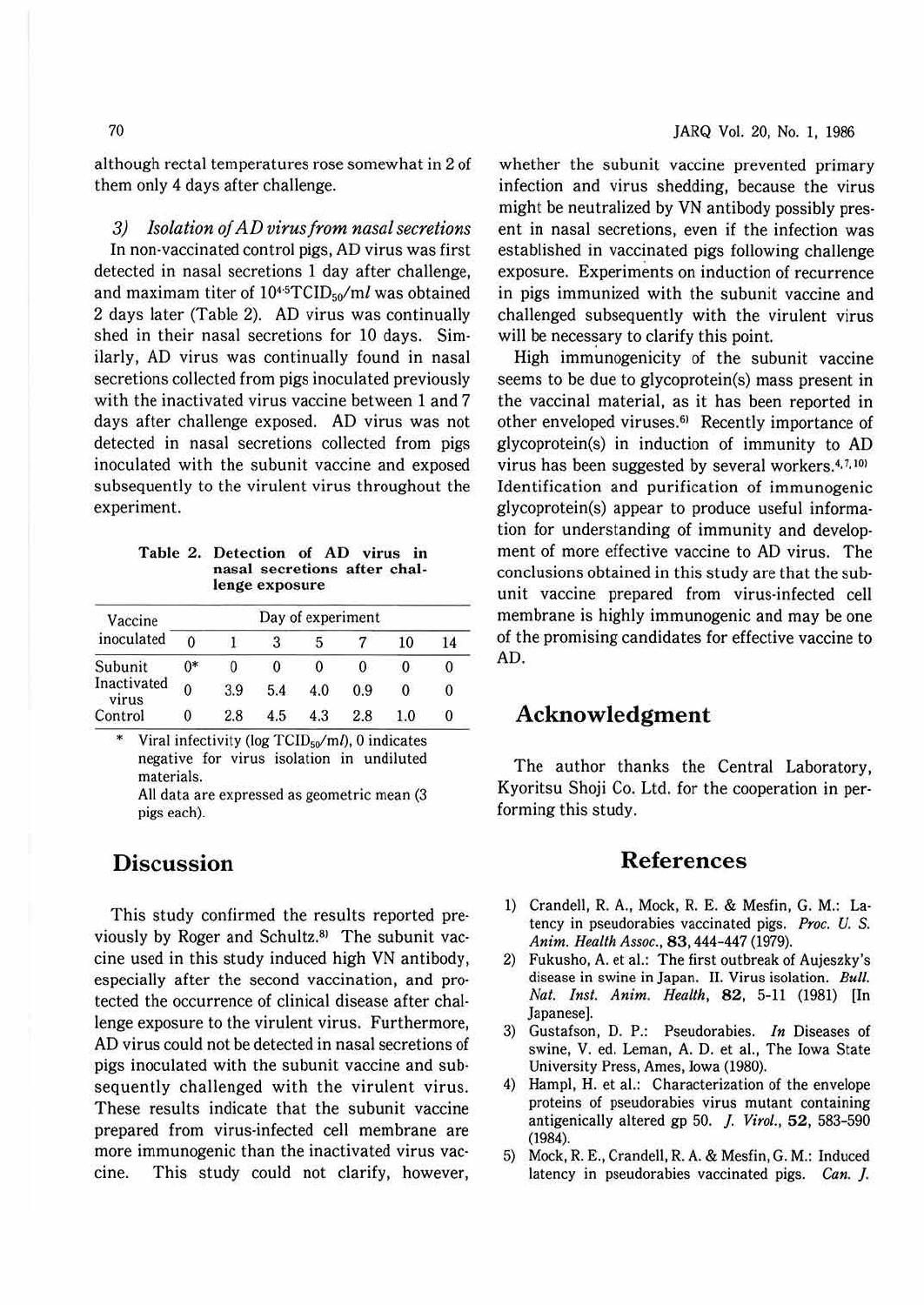although rectal temperatures rose somewhat in 2 of them only 4 days after challenge.

*3) Isolation of AD virus from nasal secretions*  In non-vaccinated control pigs, AD virus was first detected in nasal secretions 1 day after challenge, and maximam titer of  $10^{4.5}TCID_{50}/ml$  was obtained 2 days later (Table 2). AD virus was continually shed in their nasal secretions for 10 days. Similarly, AD virus was continually found in nasal secretions collected from pigs inoculated previously with the inactivated virus vaccine between 1 and 7 days after challenge exposed. AD virus was not detected in nasal secretions collected from pigs inoculated with the subunit vaccine and exposed subsequently to the virulent virus throughout the experiment.

**Table 2. Detection of AD virus in nasal secretions after challenge exposure** 

| Vaccine<br>inoculated | Day of experiment |     |     |     |     |     |    |  |  |  |
|-----------------------|-------------------|-----|-----|-----|-----|-----|----|--|--|--|
|                       |                   |     | 3   |     |     | 10  | 14 |  |  |  |
| Subunit               | $0^*$             | 0   | 0   |     |     |     | 0  |  |  |  |
| Inactivated<br>virus  | $\mathbf{0}$      | 3.9 | 5.4 | 4.0 | 0.9 |     | 0  |  |  |  |
| Control               | $\mathbf{0}$      | 2.8 | 4.5 | 4.3 | 2.8 | 1.0 | 0  |  |  |  |

Viral infectivity (log  $TCID<sub>50</sub>/m<sub>l</sub>$ ), 0 indicates negative for virus isolation in undiluted materials.

All data are expressed as geometric mean (3 pigs each).

# **Discussion**

This study confirmed the results reported pre· viously by Roger and Schultz.<sup>81</sup> The subunit vaccine used in this study induced high VN antibody, especially after the second vaccination, and pro· tected the occurrence of clinical disease after chal· lenge exposure to the virulent virus. Furthermore, AD virus could not be detected in nasal secretions of pigs inoculated with the subunit vaccine and sub· sequently challenged with the virulent virus. These results indicate that the subunit vaccine prepared from virus-infected cell membrane are more immunogenic than the inactivated virus vac· cine. This study could not clarify, however,

whether the subunit vaccine prevented primary infection and virus shedding, because the virus might be neutralized by VN antibody possibly pres· ent in nasal secretions, even if the infection was established in vaccinated pigs following challenge exposure. Experiments on induction of recurrence in pigs immunized with the subunit vaccine and challenged subsequently with the virulent virus will be necessary to clarify this point.

High immunogenicity of the subunit vaccine seems to be due to glycoprotein(s) mass present in the vaccinal material, as it has been reported in other enveloped viruses. 61 Recently importance of glycoprotein(s) in induction of immunity to AD virus has been suggested by several workers.<sup>4,7,10</sup> Identification and purification of immunogenic glycoprotein(s) appear to produce useful information for understanding of immunity and development of more effective vaccine to AD virus. The conclusions obtained in this study are that the subunit vaccine prepared from virus-infected cell membrane is highly immunogenic and may be one of the promising candidates for effective vaccine to AD.

# **Acknowledgment**

The author thanks the Central Laboratory, Kyoritsu Shoji Co. Ltd. for the cooperation in per· forming this study.

# **References**

- 1) Crandell, R. A., Mock, R. E. & Mesfin, G. **M.:** La· tency in pseudorabies vaccinated pigs. *Proc. U. S. Anim. Health Assoc.,* 83, 444-447 (1979).
- 2) Fukusho, A. et al.: The first outbreak of Aujeszky's disease in swine in Japan. II. Virus isolation. *Bull. Nat. Inst. Anim. Health, 82, 5-11 (1981)* [In Japanese].
- 3) Gustafson, D. P.: Pseudorabies. *In* Diseases of swine, V. ed. Leman, A. D. et al., The Iowa State University Press, Ames, Iowa (1980).
- 4) Hampl, H. et al.: Characterization of the envelope proteins of pseudorabies virus mutant containing antigenically altered gp 50. *]. Virol.,* 52, 583-590 (1984).
- 5) Mock, R. E., Crandell, R. A. & Mesfin, G. M.: Induced latency in pseudorabies vaccinated pigs. *Can. ].*